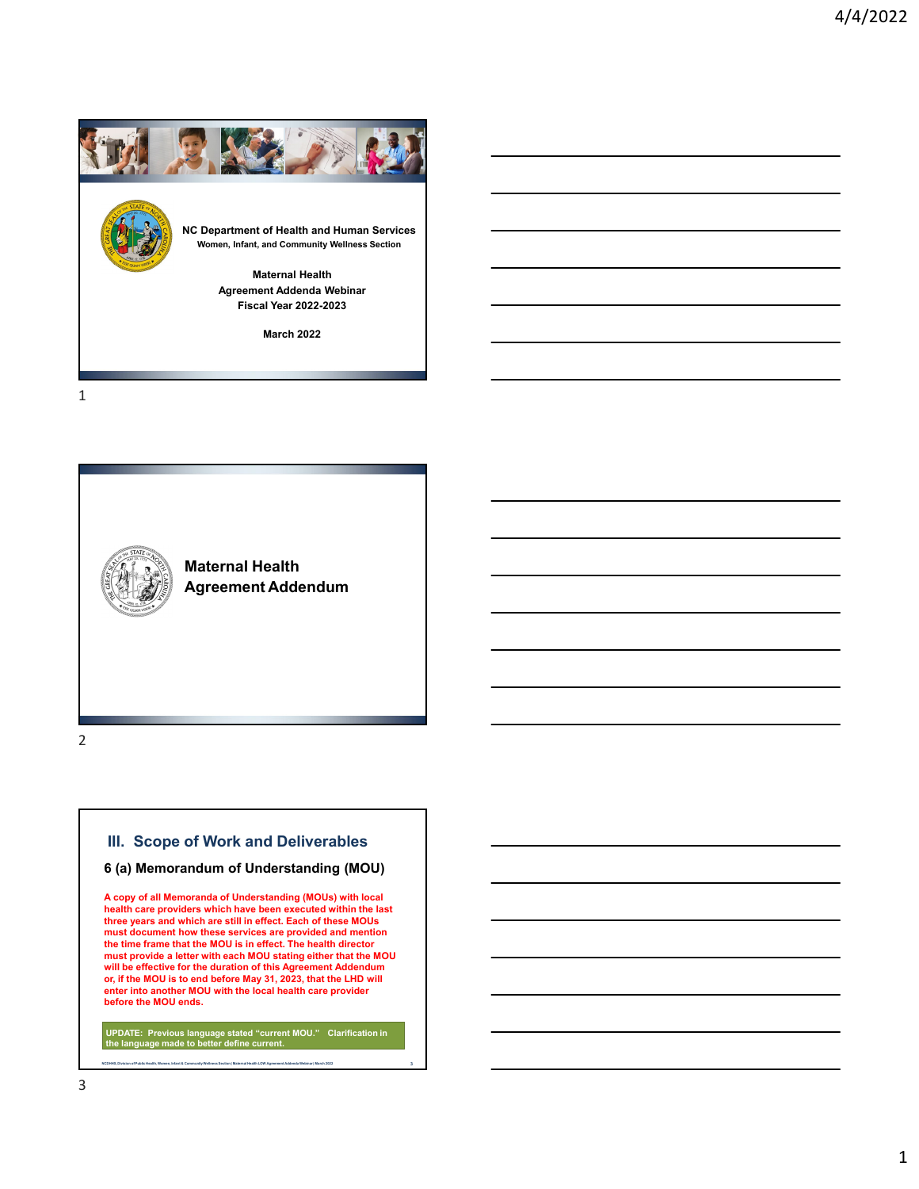

1



2

# **III. Scope of Work and Deliverables**

### **6 (a) Memorandum of Understanding (MOU)**

**A copy of all Memoranda of Understanding (MOUs) with local health care providers which have been executed within the last three years and which are still in effect. Each of these MOUs must document how these services are provided and mention the time frame that the MOU is in effect. The health director must provide a letter with each MOU stating either that the MOU will be effective for the duration of this Agreement Addendum or, if the MOU is to end before May 31, 2023, that the LHD will enter into another MOU with the local health care provider before the MOU ends.**

**UPDATE: Previous language stated "current MOU." Clarification in the language made to better define current.**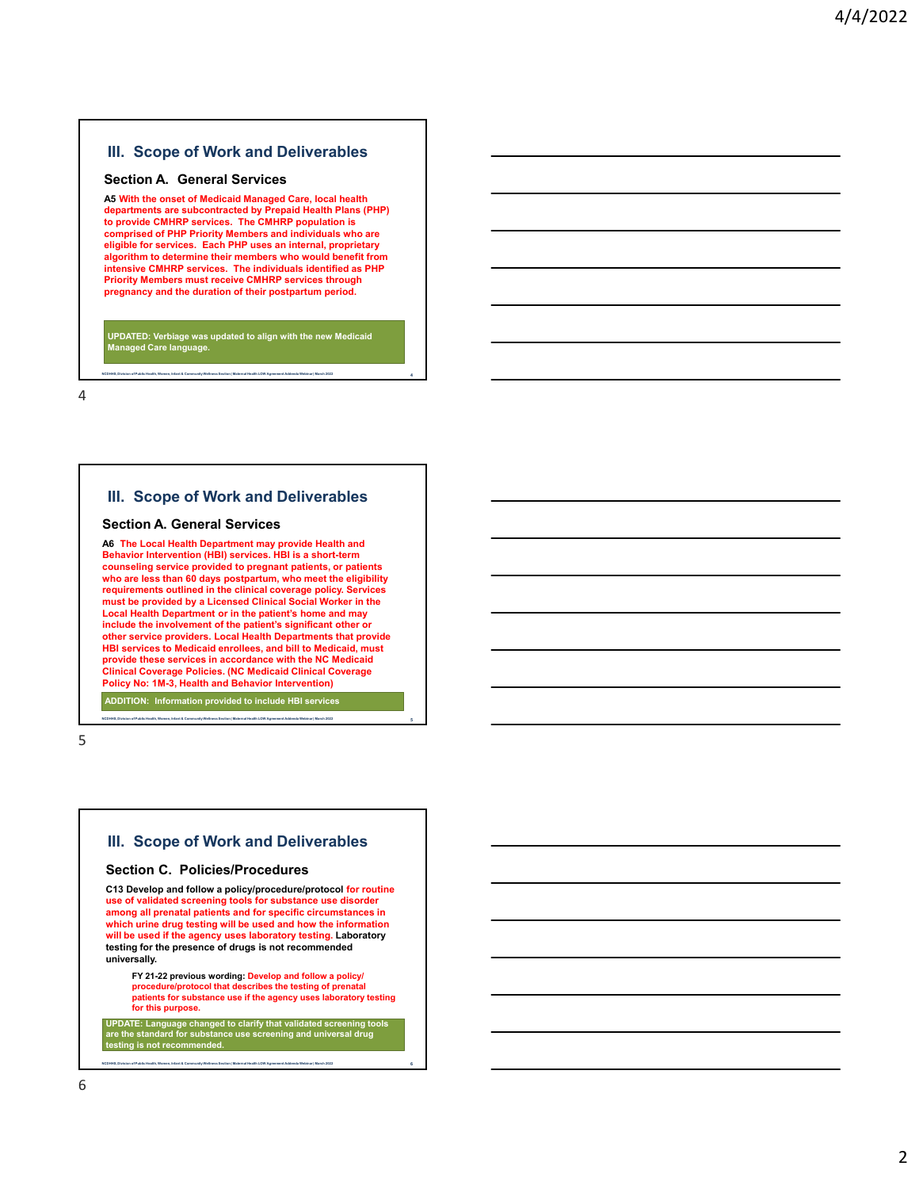#### **Section A. General Services**

**A5 With the onset of Medicaid Managed Care, local health departments are subcontracted by Prepaid Health Plans (PHP) to provide CMHRP services. The CMHRP population is comprised of PHP Priority Members and individuals who are eligible for services. Each PHP uses an internal, proprietary algorithm to determine their members who would benefit from intensive CMHRP services. The individuals identified as PHP Priority Members must receive CMHRP services through pregnancy and the duration of their postpartum period.**

**UPDATED: Verbiage was updated to align with the new Medicaid Managed Care language.**

**NCDHHS, Division of Public Health, Women, Infant & Community Wellness Section | Maternal Health LOW Agreement Addenda Webinar | March 2022 4**

4

### **III. Scope of Work and Deliverables**

### **Section A. General Services**

**A6 The Local Health Department may provide Health and Behavior Intervention (HBI) services. HBI is a short-term counseling service provided to pregnant patients, or patients who are less than 60 days postpartum, who meet the eligibility requirements outlined in the clinical coverage policy. Services must be provided by a Licensed Clinical Social Worker in the Local Health Department or in the patient's home and may include the involvement of the patient's significant other or other service providers. Local Health Departments that provide HBI services to Medicaid enrollees, and bill to Medicaid, must provide these services in accordance with the NC Medicaid Clinical Coverage Policies. (NC Medicaid Clinical Coverage Policy No: 1M-3, Health and Behavior Intervention)**

**NCDHHS, Division of Public Health, Women, Infant & Community Wellness Section | Maternal Health LOW Agreement Addenda Webinar | March 2022 5**

**ADDITION: Information provided to include HBI services**

5

## **III. Scope of Work and Deliverables**

#### **Section C. Policies/Procedures**

**C13 Develop and follow a policy/procedure/protocol for routine use of validated screening tools for substance use disorder among all prenatal patients and for specific circumstances in which urine drug testing will be used and how the information will be used if the agency uses laboratory testing. Laboratory testing for the presence of drugs is not recommended universally.**

**FY 21-22 previous wording: Develop and follow a policy/ procedure/protocol that describes the testing of prenatal patients for substance use if the agency uses laboratory testing for this purpose.**

**UPDATE: Language changed to clarify that validated screening tools are the standard for substance use screening and universal drug testing is not recommended.**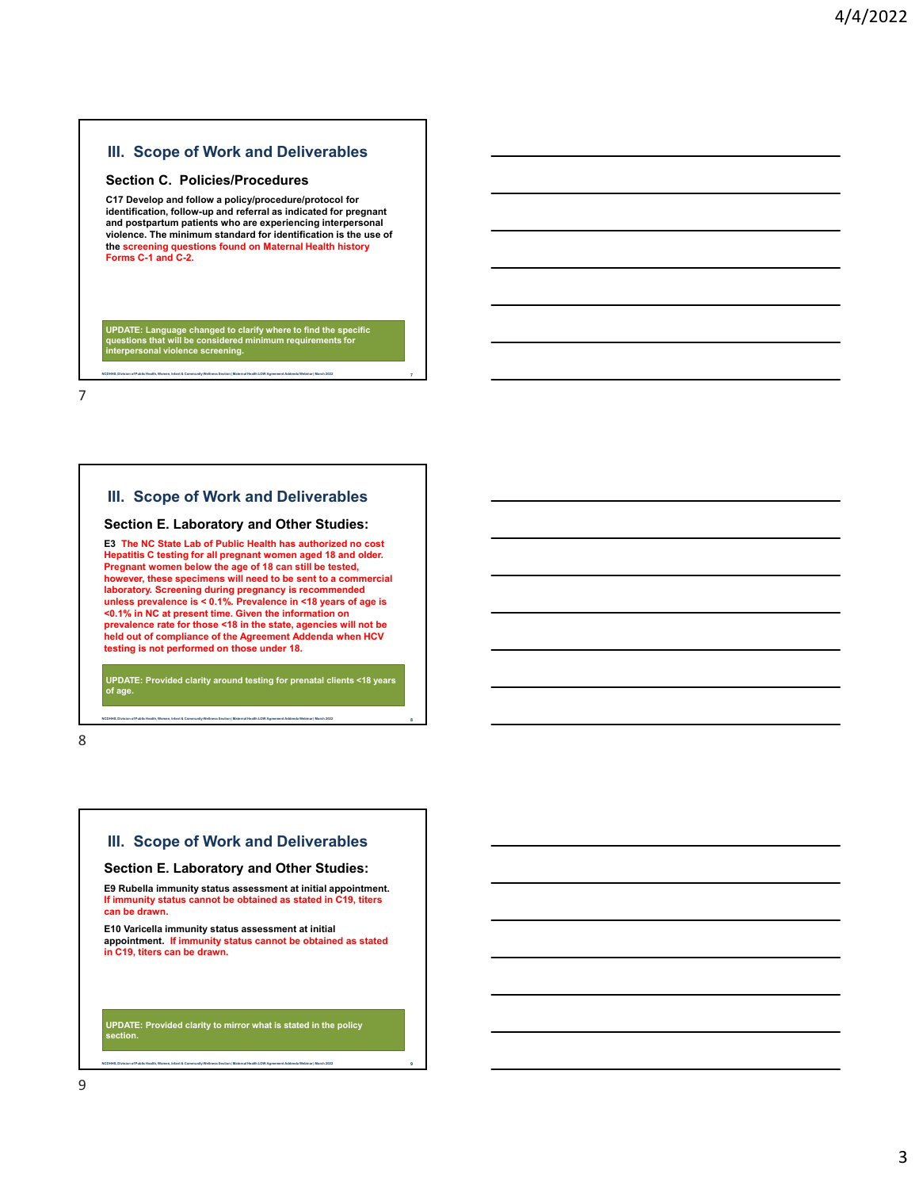### **Section C. Policies/Procedures**

**C17 Develop and follow a policy/procedure/protocol for identification, follow-up and referral as indicated for pregnant and postpartum patients who are experiencing interpersonal violence. The minimum standard for identification is the use of the screening questions found on Maternal Health history Forms C-1 and C-2.**

**UPDATE: Language changed to clarify where to find the specific questions that will be considered minimum requirements for interpersonal violence screening.**

**NCDHHS, Division of Public Health, Women, Infant & Community Wellness Section | Maternal Health LOW Agreement Addenda Webinar | March 2022 7**

7

## **III. Scope of Work and Deliverables**

#### **Section E. Laboratory and Other Studies:**

**E3 The NC State Lab of Public Health has authorized no cost Hepatitis C testing for all pregnant women aged 18 and older. Pregnant women below the age of 18 can still be tested, however, these specimens will need to be sent to a commercial laboratory. Screening during pregnancy is recommended unless prevalence is < 0.1%. Prevalence in <18 years of age is <0.1% in NC at present time. Given the information on prevalence rate for those <18 in the state, agencies will not be held out of compliance of the Agreement Addenda when HCV testing is not performed on those under 18.**

**UPDATE: Provided clarity around testing for prenatal clients <18 years of age.**

**NCDHHS, Division of Public Health, Women, Infant & Community Wellness Section | Maternal Health LOW Agreement Addenda Webinar | March 2022 8**

8

## **III. Scope of Work and Deliverables**

#### **Section E. Laboratory and Other Studies:**

**E9 Rubella immunity status assessment at initial appointment. If immunity status cannot be obtained as stated in C19, titers can be drawn.**

**E10 Varicella immunity status assessment at initial appointment. If immunity status cannot be obtained as stated in C19, titers can be drawn.**

**UPDATE: Provided clarity to mirror what is stated in the policy section.**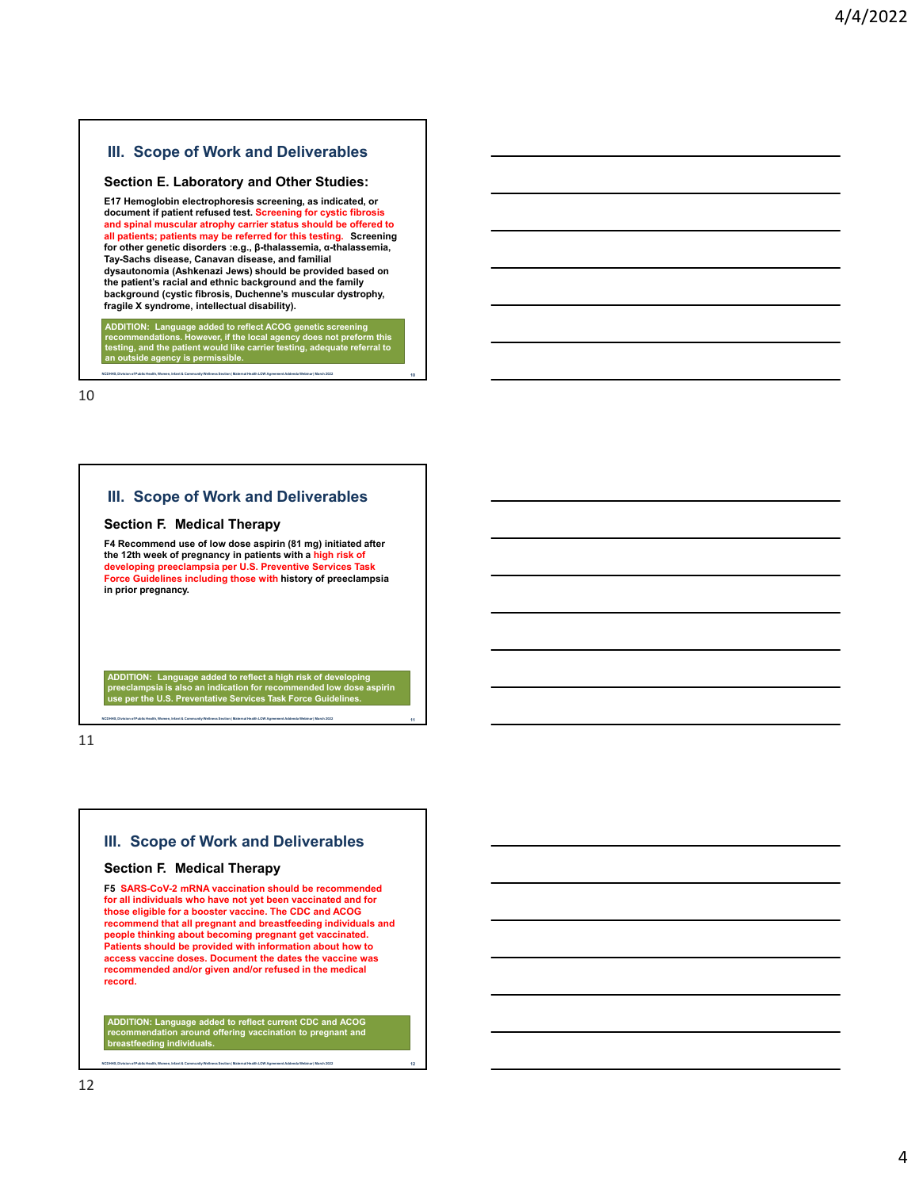#### **Section E. Laboratory and Other Studies:**

**E17 Hemoglobin electrophoresis screening, as indicated, or document if patient refused test. Screening for cystic fibrosis and spinal muscular atrophy carrier status should be offered to all patients; patients may be referred for this testing. Screening for other genetic disorders :e.g., β-thalassemia, α-thalassemia, Tay-Sachs disease, Canavan disease, and familial dysautonomia (Ashkenazi Jews) should be provided based on the patient's racial and ethnic background and the family background (cystic fibrosis, Duchenne's muscular dystrophy, fragile X syndrome, intellectual disability).**

ADDITION: Language added to reflect ACOG genetic screening<br>recommendations. However, if the local agency does not preform this<br>testing, and the patient would like carrier testing, adequate referral to<br>an outside agency is

**NCDHHS, Division of Public Health, Women, Infant & Community Wellness Section | Maternal Health LOW Agreement Addenda Webinar | March 2022 10**

10

## **III. Scope of Work and Deliverables**

### **Section F. Medical Therapy**

**F4 Recommend use of low dose aspirin (81 mg) initiated after the 12th week of pregnancy in patients with a high risk of developing preeclampsia per U.S. Preventive Services Task Force Guidelines including those with history of preeclampsia in prior pregnancy.**

ADDITION: Language added to reflect a high risk of developing<br>preeclampsia is also an indication for recommended low dose aspirin<br>use per the U.S. Preventative Services Task Force Guidelines.

**NCDHHS, Division of Public Health, Women, Infant & Community Wellness Section | Maternal Health LOW Agreement Addenda Webinar | March 2022 11**

11

## **III. Scope of Work and Deliverables**

### **Section F. Medical Therapy**

**F5 SARS-CoV-2 mRNA vaccination should be recommended for all individuals who have not yet been vaccinated and for those eligible for a booster vaccine. The CDC and ACOG recommend that all pregnant and breastfeeding individuals and people thinking about becoming pregnant get vaccinated. Patients should be provided with information about how to access vaccine doses. Document the dates the vaccine was recommended and/or given and/or refused in the medical record.**

**ADDITION: Language added to reflect current CDC and ACOG recommendation around offering vaccination to pregnant and breadation <del>ca.</del><br>stfeeding individuals.**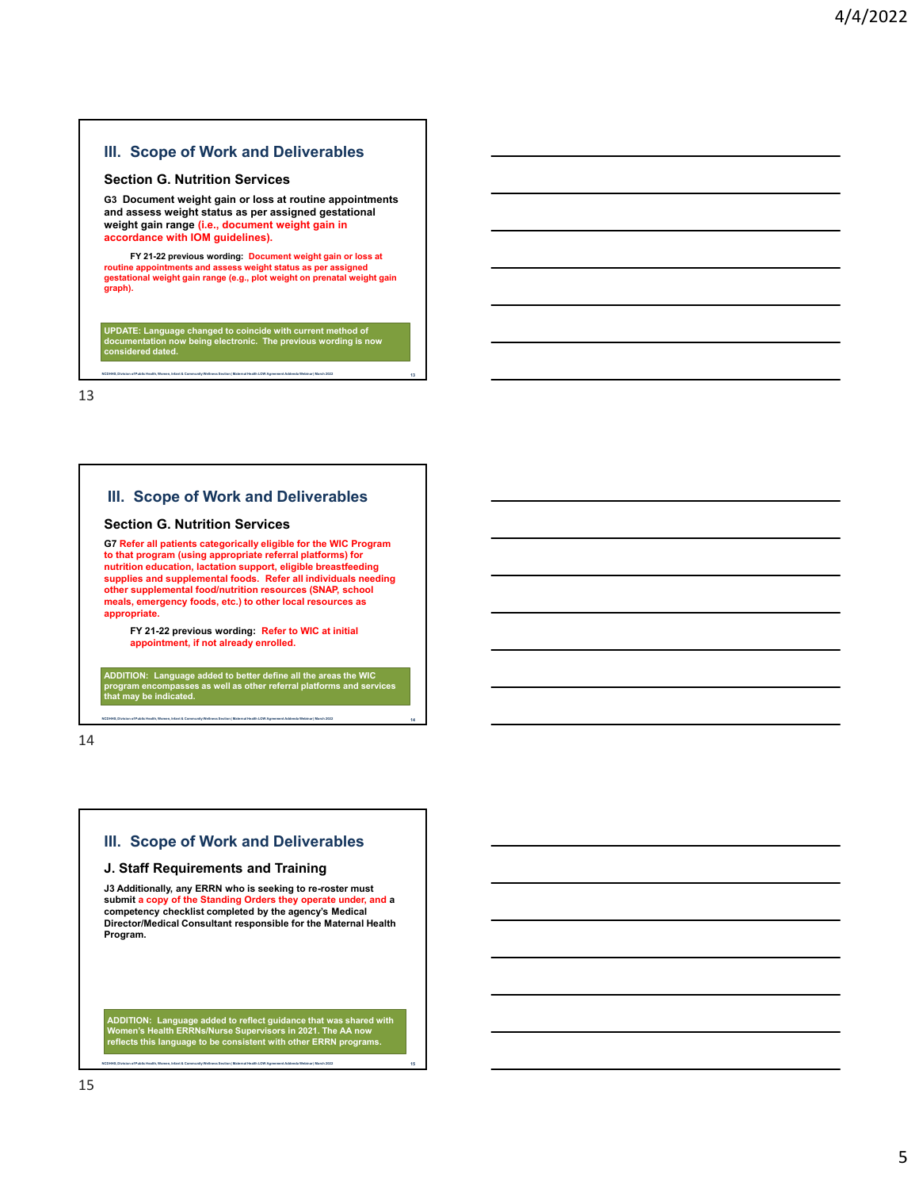#### **Section G. Nutrition Services**

**G3 Document weight gain or loss at routine appointments and assess weight status as per assigned gestational weight gain range (i.e., document weight gain in accordance with IOM guidelines).**

**FY 21-22 previous wording: Document weight gain or loss at routine appointments and assess weight status as per assigned gestational weight gain range (e.g., plot weight on prenatal weight gain graph).**

**UPDATE: Language changed to coincide with current method of documentation now being electronic. The previous wording is now considered dated.**

**NCDHHS, Division of Public Health, Women, Infant & Community Wellness Section | Maternal Health LOW Agreement Addenda Webinar | March 2022 13**

13

## **III. Scope of Work and Deliverables**

#### **Section G. Nutrition Services**

**G7 Refer all patients categorically eligible for the WIC Program to that program (using appropriate referral platforms) for nutrition education, lactation support, eligible breastfeeding supplies and supplemental foods. Refer all individuals needing other supplemental food/nutrition resources (SNAP, school meals, emergency foods, etc.) to other local resources as appropriate.**

**FY 21-22 previous wording: Refer to WIC at initial appointment, if not already enrolled.**

**ADDITION: Language added to better define all the areas the WIC program encompasses as well as other referral platforms and services**  ogram encompasses<br>at may be indicated.

**NCDHHS, Division of Public Health, Women, Infant & Community Wellness Section | Maternal Health LOW Agreement Addenda Webinar | March 2022 14**

14

## **III. Scope of Work and Deliverables**

#### **J. Staff Requirements and Training**

**J3 Additionally, any ERRN who is seeking to re-roster must submit a copy of the Standing Orders they operate under, and a competency checklist completed by the agency's Medical Director/Medical Consultant responsible for the Maternal Health Program.**

**ADDITION: Language added to reflect guidance that was shared with Women's Health ERRNs/Nurse Supervisors in 2021. The AA now reflects this language to be consistent with other ERRN programs.**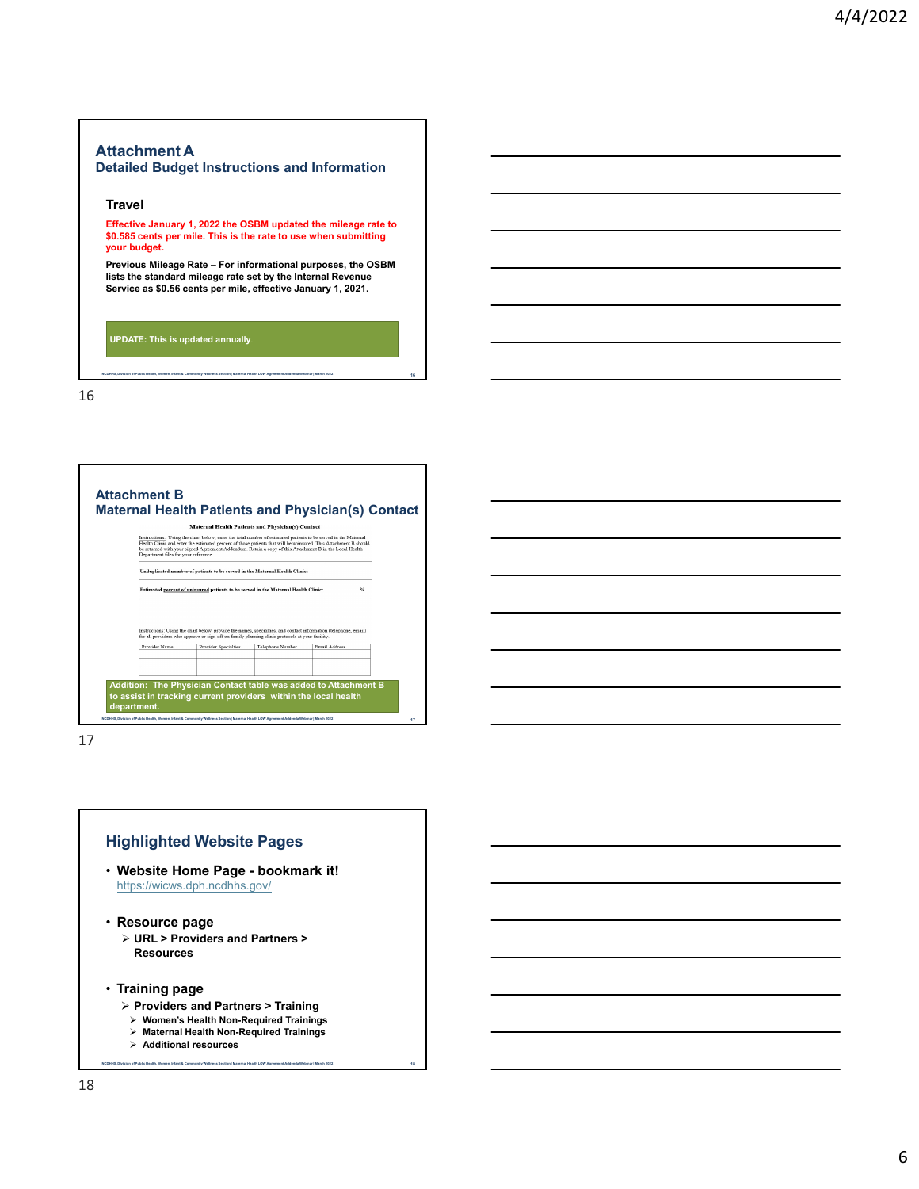# **Attachment A**

### **Detailed Budget Instructions and Information**

### **Travel**

**Effective January 1, 2022 the OSBM updated the mileage rate to \$0.585 cents per mile. This is the rate to use when submitting your budget.**

**Previous Mileage Rate – For informational purposes, the OSBM lists the standard mileage rate set by the Internal Revenue Service as \$0.56 cents per mile, effective January 1, 2021.**

**NCDHHS, Division of Public Health, Women, Infant & Community Wellness Section | Maternal Health LOW Agreement Addenda Webinar | March 2022 16**

**UPDATE: This is updated annually**.

16

|                                      | <b>Maternal Health Patients and Physician(s) Contact</b>                                                                                                                                                                                                                                                                                      |                  |                                                                                                                                  |                           |  |
|--------------------------------------|-----------------------------------------------------------------------------------------------------------------------------------------------------------------------------------------------------------------------------------------------------------------------------------------------------------------------------------------------|------------------|----------------------------------------------------------------------------------------------------------------------------------|---------------------------|--|
| Department files for your reference. | Instructions: Using the chart below, enter the total number of estimated patients to be served in the Maternal<br>Health Clinic and enter the estimated percent of those patients that will be uninsured. This Attachment B should<br>be returned with your signed Agreement Addendum. Retain a copy of this Attachment B in the Local Health |                  |                                                                                                                                  |                           |  |
|                                      | Unduplicated number of patients to be served in the Maternal Health Clinic:                                                                                                                                                                                                                                                                   |                  |                                                                                                                                  |                           |  |
|                                      | Estimated percent of uninsured patients to be served in the Maternal Health Clinic:                                                                                                                                                                                                                                                           |                  |                                                                                                                                  | $\mathbf{e}_{\mathbf{h}}$ |  |
|                                      | for all providers who approve or sign off on family planning clinic protocols at your facility.                                                                                                                                                                                                                                               |                  |                                                                                                                                  |                           |  |
| Provider Name                        | <b>Provider Specialties</b>                                                                                                                                                                                                                                                                                                                   | Telephone Number |                                                                                                                                  |                           |  |
|                                      |                                                                                                                                                                                                                                                                                                                                               |                  |                                                                                                                                  |                           |  |
|                                      |                                                                                                                                                                                                                                                                                                                                               |                  | Instructions: Using the chart below, provide the names, specialties, and contact information (telephone, email)<br>Email Address |                           |  |

**NCDHHS, Division of Public Health, Women, Infant & Community Wellness Section | Maternal Health LOW Agreement Addenda Webinar | March 2022 17**

17